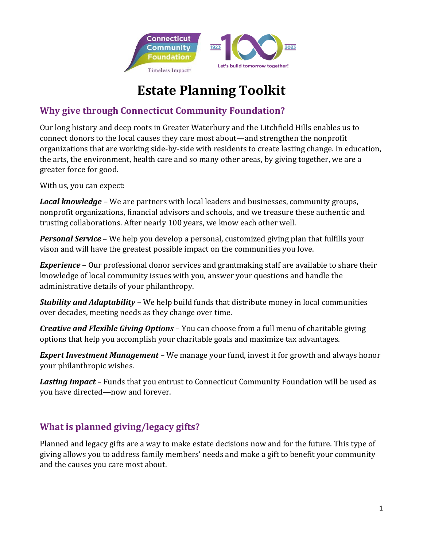

# **Estate Planning Toolkit**

## **Why give through Connecticut Community Foundation?**

Our long history and deep roots in Greater Waterbury and the Litchfield Hills enables us to connect donors to the local causes they care most about—and strengthen the nonprofit organizations that are working side-by-side with residents to create lasting change. In education, the arts, the environment, health care and so many other areas, by giving together, we are a greater force for good.

With us, you can expect:

*Local knowledge* – We are partners with local leaders and businesses, community groups, nonprofit organizations, financial advisors and schools, and we treasure these authentic and trusting collaborations. After nearly 100 years, we know each other well.

*Personal Service* – We help you develop a personal, customized giving plan that fulfills your vison and will have the greatest possible impact on the communities you love.

*Experience* – Our professional donor services and grantmaking staff are available to share their knowledge of local community issues with you, answer your questions and handle the administrative details of your philanthropy.

*Stability and Adaptability* – We help build funds that distribute money in local communities over decades, meeting needs as they change over time.

*Creative and Flexible Giving Options* – You can choose from a full menu of charitable giving options that help you accomplish your charitable goals and maximize tax advantages.

*Expert Investment Management* – We manage your fund, invest it for growth and always honor your philanthropic wishes.

*Lasting Impact* – Funds that you entrust to Connecticut Community Foundation will be used as you have directed—now and forever.

## **What is planned giving/legacy gifts?**

Planned and legacy gifts are a way to make estate decisions now and for the future. This type of giving allows you to address family members' needs and make a gift to benefit your community and the causes you care most about.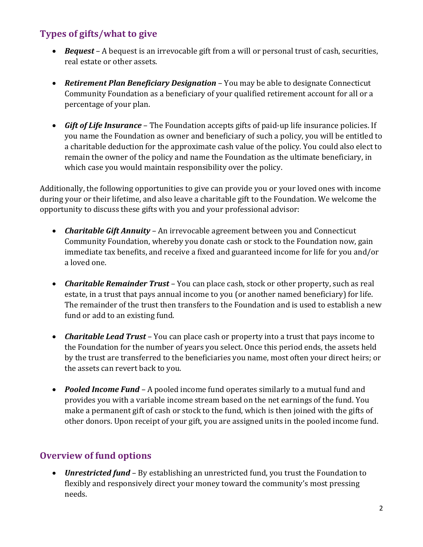## **Types of gifts/what to give**

- *Bequest* A bequest is an irrevocable gift from a will or personal trust of cash, securities, real estate or other assets.
- *Retirement Plan Beneficiary Designation* You may be able to designate Connecticut Community Foundation as a beneficiary of your qualified retirement account for all or a percentage of your plan.
- *Gift of Life Insurance* The Foundation accepts gifts of paid-up life insurance policies. If you name the Foundation as owner and beneficiary of such a policy, you will be entitled to a charitable deduction for the approximate cash value of the policy. You could also elect to remain the owner of the policy and name the Foundation as the ultimate beneficiary, in which case you would maintain responsibility over the policy.

Additionally, the following opportunities to give can provide you or your loved ones with income during your or their lifetime, and also leave a charitable gift to the Foundation. We welcome the opportunity to discuss these gifts with you and your professional advisor:

- *Charitable Gift Annuity* An irrevocable agreement between you and Connecticut Community Foundation, whereby you donate cash or stock to the Foundation now, gain immediate tax benefits, and receive a fixed and guaranteed income for life for you and/or a loved one.
- *Charitable Remainder Trust* You can place cash, stock or other property, such as real estate, in a trust that pays annual income to you (or another named beneficiary) for life. The remainder of the trust then transfers to the Foundation and is used to establish a new fund or add to an existing fund.
- *Charitable Lead Trust* You can place cash or property into a trust that pays income to the Foundation for the number of years you select. Once this period ends, the assets held by the trust are transferred to the beneficiaries you name, most often your direct heirs; or the assets can revert back to you.
- *Pooled Income Fund* A pooled income fund operates similarly to a mutual fund and provides you with a variable income stream based on the net earnings of the fund. You make a permanent gift of cash or stock to the fund, which is then joined with the gifts of other donors. Upon receipt of your gift, you are assigned units in the pooled income fund.

## **Overview of fund options**

• *Unrestricted fund* – By establishing an unrestricted fund, you trust the Foundation to flexibly and responsively direct your money toward the community's most pressing needs.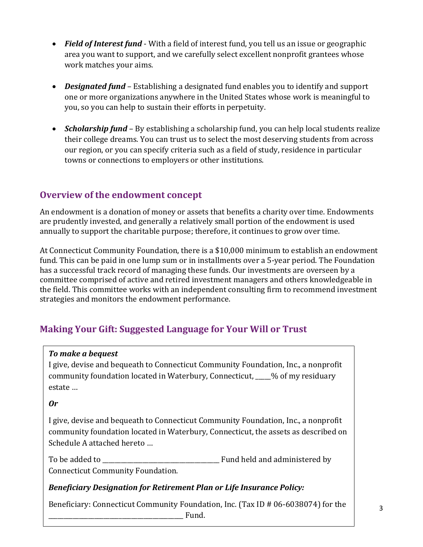- *Field of Interest fund* With a field of interest fund, you tell us an issue or geographic area you want to support, and we carefully select excellent nonprofit grantees whose work matches your aims.
- *Designated fund* Establishing a designated fund enables you to identify and support one or more organizations anywhere in the United States whose work is meaningful to you, so you can help to sustain their efforts in perpetuity.
- *Scholarship fund* By establishing a scholarship fund, you can help local students realize their college dreams. You can trust us to select the most deserving students from across our region, or you can specify criteria such as a field of study, residence in particular towns or connections to employers or other institutions.

## **Overview of the endowment concept**

An endowment is a donation of money or assets that benefits a charity over time. Endowments are prudently invested, and generally a relatively small portion of the endowment is used annually to support the charitable purpose; therefore, it continues to grow over time.

At Connecticut Community Foundation, there is a \$10,000 minimum to establish an endowment fund. This can be paid in one lump sum or in installments over a 5-year period. The Foundation has a successful track record of managing these funds. Our investments are overseen by a committee comprised of active and retired investment managers and others knowledgeable in the field. This committee works with an independent consulting firm to recommend investment strategies and monitors the endowment performance.

## **Making Your Gift: Suggested Language for Your Will or Trust**

#### *To make a bequest*

I give, devise and bequeath to Connecticut Community Foundation, Inc., a nonprofit community foundation located in Waterbury, Connecticut, \_\_\_\_\_% of my residuary estate …

#### *Or*

I give, devise and bequeath to Connecticut Community Foundation, Inc., a nonprofit community foundation located in Waterbury, Connecticut, the assets as described on Schedule A attached hereto …

To be added to \_\_\_\_\_\_\_\_\_\_\_\_\_\_\_\_\_\_\_\_\_\_\_\_\_\_\_\_\_\_\_\_\_\_\_\_\_\_ Fund held and administered by Connecticut Community Foundation.

#### *Beneficiary Designation for Retirement Plan or Life Insurance Policy:*

Beneficiary: Connecticut Community Foundation, Inc. (Tax ID # 06-6038074) for the \_\_\_\_\_\_\_\_\_\_\_\_\_\_\_\_\_\_\_\_\_\_\_\_\_\_\_\_\_\_\_\_\_\_\_\_\_\_\_\_\_\_\_\_ Fund.